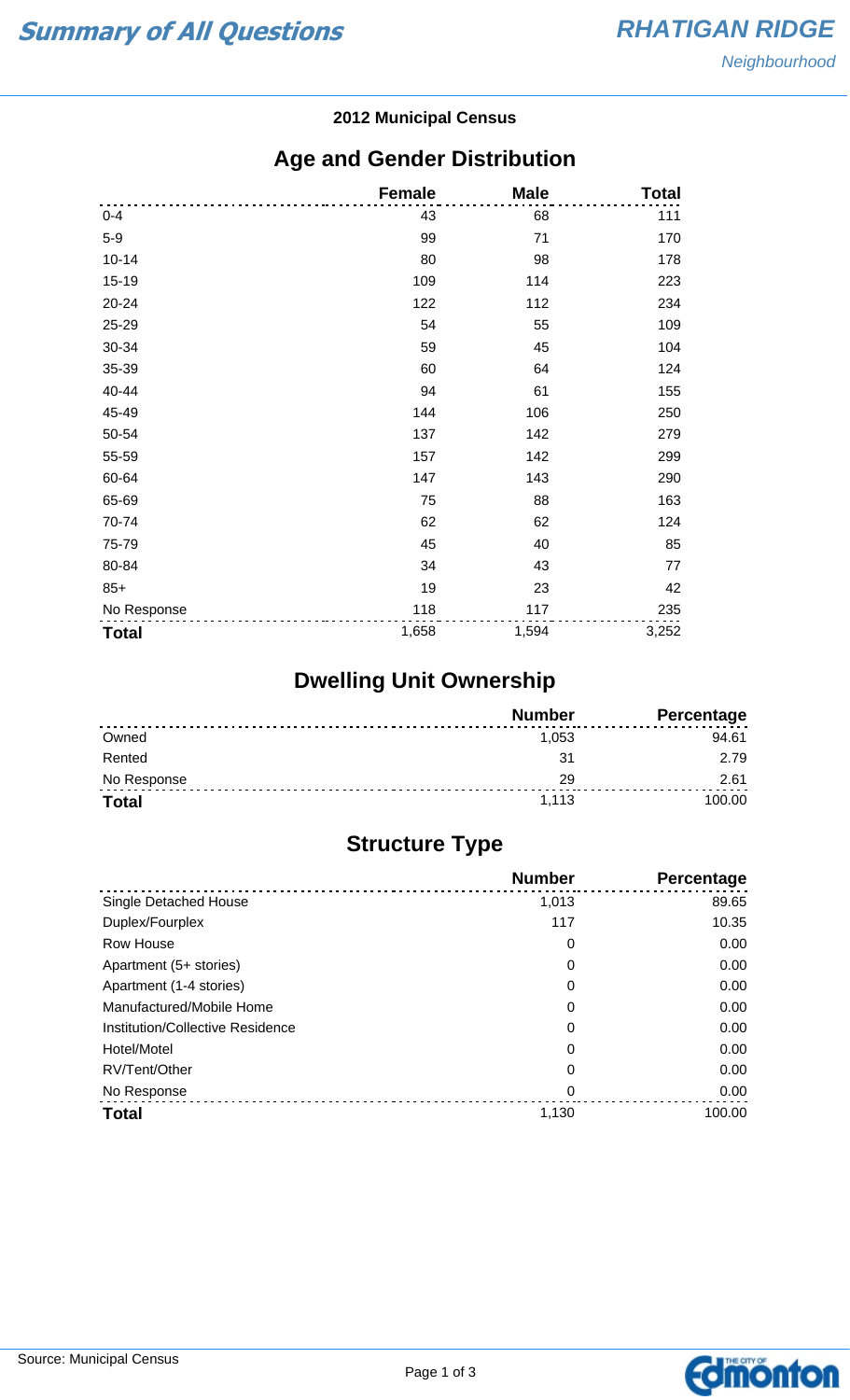#### **2012 Municipal Census**

## **Age and Gender Distribution**

|              | <b>Female</b> | <b>Male</b> | <b>Total</b> |
|--------------|---------------|-------------|--------------|
| $0 - 4$      | 43            | 68          | 111          |
| $5-9$        | 99            | 71          | 170          |
| $10 - 14$    | 80            | 98          | 178          |
| $15 - 19$    | 109           | 114         | 223          |
| 20-24        | 122           | 112         | 234          |
| 25-29        | 54            | 55          | 109          |
| 30-34        | 59            | 45          | 104          |
| 35-39        | 60            | 64          | 124          |
| 40-44        | 94            | 61          | 155          |
| 45-49        | 144           | 106         | 250          |
| 50-54        | 137           | 142         | 279          |
| 55-59        | 157           | 142         | 299          |
| 60-64        | 147           | 143         | 290          |
| 65-69        | 75            | 88          | 163          |
| 70-74        | 62            | 62          | 124          |
| 75-79        | 45            | 40          | 85           |
| 80-84        | 34            | 43          | 77           |
| $85+$        | 19            | 23          | 42           |
| No Response  | 118           | 117         | 235          |
| <b>Total</b> | 1,658         | 1,594       | 3,252        |

# **Dwelling Unit Ownership**

|              | <b>Number</b> | <b>Percentage</b> |
|--------------|---------------|-------------------|
| Owned        | 1.053         | 94.61             |
| Rented       | -21           | 2.79              |
| No Response  | 29            | 2.61              |
| <b>Total</b> | 1.113         | 100.00            |

## **Structure Type**

|                                  | <b>Number</b> | Percentage |
|----------------------------------|---------------|------------|
| Single Detached House            | 1,013         | 89.65      |
| Duplex/Fourplex                  | 117           | 10.35      |
| Row House                        | 0             | 0.00       |
| Apartment (5+ stories)           | 0             | 0.00       |
| Apartment (1-4 stories)          | 0             | 0.00       |
| Manufactured/Mobile Home         | 0             | 0.00       |
| Institution/Collective Residence | 0             | 0.00       |
| Hotel/Motel                      | 0             | 0.00       |
| RV/Tent/Other                    | 0             | 0.00       |
| No Response                      | 0             | 0.00       |
| <b>Total</b>                     | 1,130         | 100.00     |

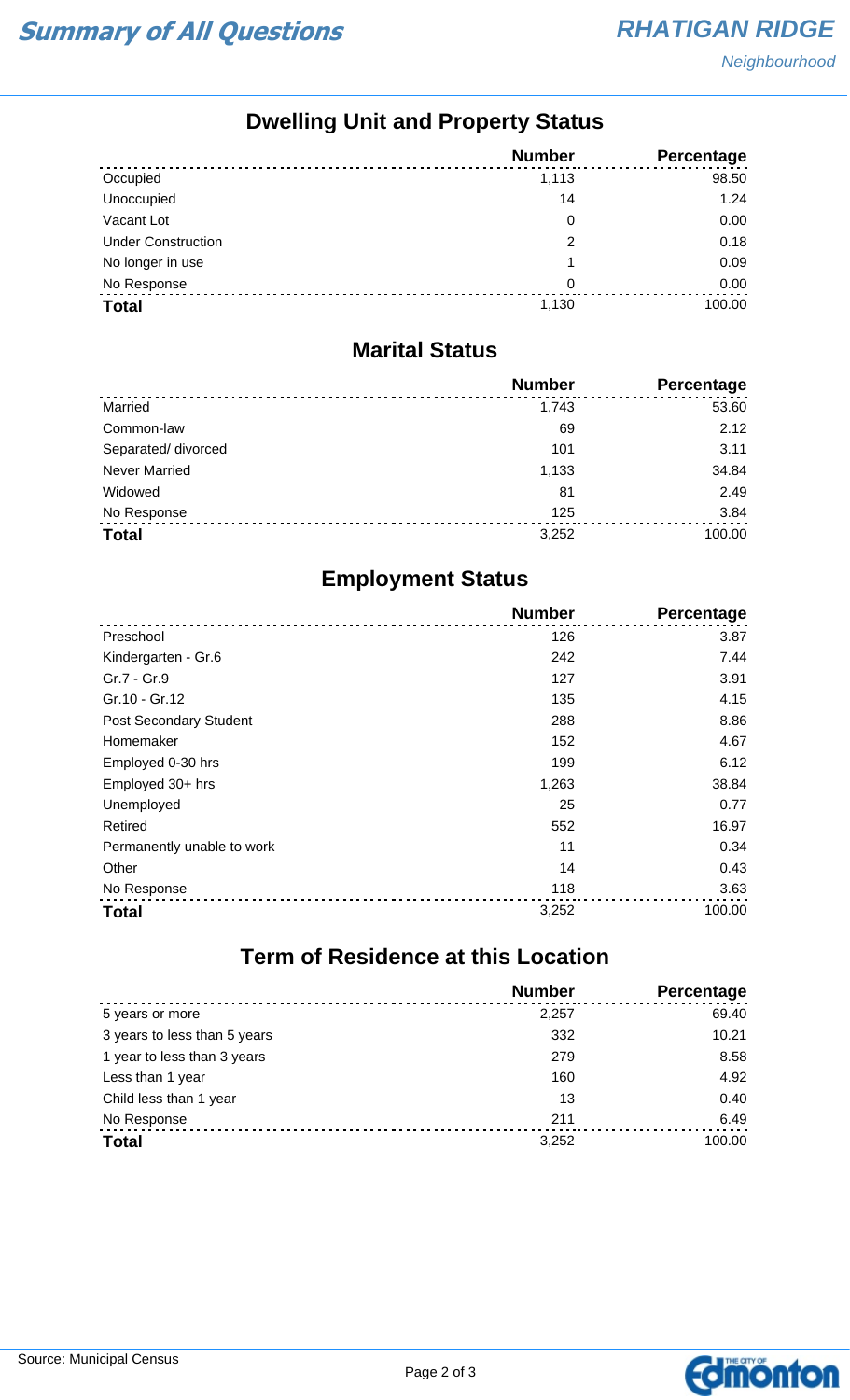**Neighbourhood** 

## **Dwelling Unit and Property Status**

|                           | <b>Number</b> | Percentage |
|---------------------------|---------------|------------|
| Occupied                  | 1,113         | 98.50      |
| Unoccupied                | 14            | 1.24       |
| Vacant Lot                | 0             | 0.00       |
| <b>Under Construction</b> | 2             | 0.18       |
| No longer in use          |               | 0.09       |
| No Response               | 0             | 0.00       |
| <b>Total</b>              | 1,130         | 100.00     |

#### **Marital Status**

|                      | <b>Number</b> | Percentage |
|----------------------|---------------|------------|
| Married              | 1.743         | 53.60      |
| Common-law           | 69            | 2.12       |
| Separated/divorced   | 101           | 3.11       |
| <b>Never Married</b> | 1,133         | 34.84      |
| Widowed              | 81            | 2.49       |
| No Response          | 125           | 3.84       |
| <b>Total</b>         | 3,252         | 100.00     |

## **Employment Status**

|                               | <b>Number</b> | Percentage |
|-------------------------------|---------------|------------|
| Preschool                     | 126           | 3.87       |
| Kindergarten - Gr.6           | 242           | 7.44       |
| Gr.7 - Gr.9                   | 127           | 3.91       |
| Gr.10 - Gr.12                 | 135           | 4.15       |
| <b>Post Secondary Student</b> | 288           | 8.86       |
| Homemaker                     | 152           | 4.67       |
| Employed 0-30 hrs             | 199           | 6.12       |
| Employed 30+ hrs              | 1,263         | 38.84      |
| Unemployed                    | 25            | 0.77       |
| Retired                       | 552           | 16.97      |
| Permanently unable to work    | 11            | 0.34       |
| Other                         | 14            | 0.43       |
| No Response                   | 118           | 3.63       |
| <b>Total</b>                  | 3,252         | 100.00     |

# **Term of Residence at this Location**

|                              | <b>Number</b> | Percentage |
|------------------------------|---------------|------------|
| 5 years or more              | 2,257         | 69.40      |
| 3 years to less than 5 years | 332           | 10.21      |
| 1 year to less than 3 years  | 279           | 8.58       |
| Less than 1 year             | 160           | 4.92       |
| Child less than 1 year       | 13            | 0.40       |
| No Response                  | 211           | 6.49       |
| <b>Total</b>                 | 3,252         | 100.00     |